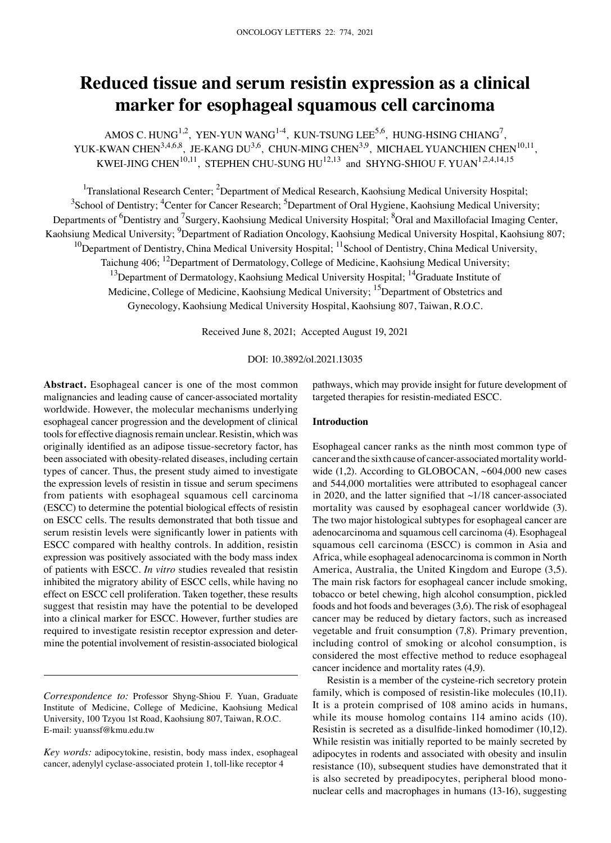# **Reduced tissue and serum resistin expression as a clinical marker for esophageal squamous cell carcinoma**

AMOS C. HUNG<sup>1,2</sup>, YEN-YUN WANG<sup>1,4</sup>, KUN-TSUNG LEE<sup>5,6</sup>, HUNG-HSING CHIANG<sup>7</sup>, YUK-KWAN CHEN<sup>3,4,6,8</sup>, JE-KANG DU<sup>3,6</sup>, CHUN-MING CHEN<sup>3,9</sup>, MICHAEL YUANCHIEN CHEN<sup>10,11</sup>, KWEI-JING CHEN $^{10,11}$ , STEPHEN CHU-SUNG HU $^{12,13}$  and SHYNG-SHIOU F. YUAN $^{1,2,4,14,15}$ 

<sup>1</sup>Translational Research Center; <sup>2</sup>Department of Medical Research, Kaohsiung Medical University Hospital;  $3$ School of Dentistry;  $4$ Center for Cancer Research;  $5$ Department of Oral Hygiene, Kaohsiung Medical University; Departments of <sup>6</sup>Dentistry and <sup>7</sup>Surgery, Kaohsiung Medical University Hospital; <sup>8</sup>Oral and Maxillofacial Imaging Center, Kaohsiung Medical University; <sup>9</sup>Department of Radiation Oncology, Kaohsiung Medical University Hospital, Kaohsiung 807; <sup>10</sup>Department of Dentistry, China Medical University Hospital; <sup>11</sup>School of Dentistry, China Medical University, Taichung 406; <sup>12</sup>Department of Dermatology, College of Medicine, Kaohsiung Medical University;  $13$ Department of Dermatology, Kaohsiung Medical University Hospital;  $14$ Graduate Institute of

Medicine, College of Medicine, Kaohsiung Medical University; <sup>15</sup>Department of Obstetrics and

Gynecology, Kaohsiung Medical University Hospital, Kaohsiung 807, Taiwan, R.O.C.

Received June 8, 2021; Accepted August 19, 2021

## DOI: 10.3892/ol.2021.13035

**Abstract.** Esophageal cancer is one of the most common malignancies and leading cause of cancer‑associated mortality worldwide. However, the molecular mechanisms underlying esophageal cancer progression and the development of clinical tools for effective diagnosis remain unclear. Resistin, which was originally identified as an adipose tissue‑secretory factor, has been associated with obesity-related diseases, including certain types of cancer. Thus, the present study aimed to investigate the expression levels of resistin in tissue and serum specimens from patients with esophageal squamous cell carcinoma (ESCC) to determine the potential biological effects of resistin on ESCC cells. The results demonstrated that both tissue and serum resistin levels were significantly lower in patients with ESCC compared with healthy controls. In addition, resistin expression was positively associated with the body mass index of patients with ESCC. *In vitro* studies revealed that resistin inhibited the migratory ability of ESCC cells, while having no effect on ESCC cell proliferation. Taken together, these results suggest that resistin may have the potential to be developed into a clinical marker for ESCC. However, further studies are required to investigate resistin receptor expression and determine the potential involvement of resistin‑associated biological

*Correspondence to:* Professor Shyng‑Shiou F. Yuan, Graduate Institute of Medicine, College of Medicine, Kaohsiung Medical University, 100 Tzyou 1st Road, Kaohsiung 807, Taiwan, R.O.C. E‑mail: yuanssf@kmu.edu.tw

*Key words:* adipocytokine, resistin, body mass index, esophageal cancer, adenylyl cyclase-associated protein 1, toll-like receptor 4

pathways, which may provide insight for future development of targeted therapies for resistin‑mediated ESCC.

## **Introduction**

Esophageal cancer ranks as the ninth most common type of cancer and the sixth cause of cancer-associated mortality worldwide  $(1,2)$ . According to GLOBOCAN,  $~604,000$  new cases and 544,000 mortalities were attributed to esophageal cancer in 2020, and the latter signified that  $\sim$ 1/18 cancer-associated mortality was caused by esophageal cancer worldwide (3). The two major histological subtypes for esophageal cancer are adenocarcinoma and squamous cell carcinoma (4). Esophageal squamous cell carcinoma (ESCC) is common in Asia and Africa, while esophageal adenocarcinoma is common in North America, Australia, the United Kingdom and Europe (3,5). The main risk factors for esophageal cancer include smoking, tobacco or betel chewing, high alcohol consumption, pickled foods and hot foods and beverages(3,6). The risk of esophageal cancer may be reduced by dietary factors, such as increased vegetable and fruit consumption (7,8). Primary prevention, including control of smoking or alcohol consumption, is considered the most effective method to reduce esophageal cancer incidence and mortality rates (4,9).

Resistin is a member of the cysteine‑rich secretory protein family, which is composed of resistin-like molecules (10,11). It is a protein comprised of 108 amino acids in humans, while its mouse homolog contains 114 amino acids (10). Resistin is secreted as a disulfide-linked homodimer (10,12). While resistin was initially reported to be mainly secreted by adipocytes in rodents and associated with obesity and insulin resistance (10), subsequent studies have demonstrated that it is also secreted by preadipocytes, peripheral blood mononuclear cells and macrophages in humans (13‑16), suggesting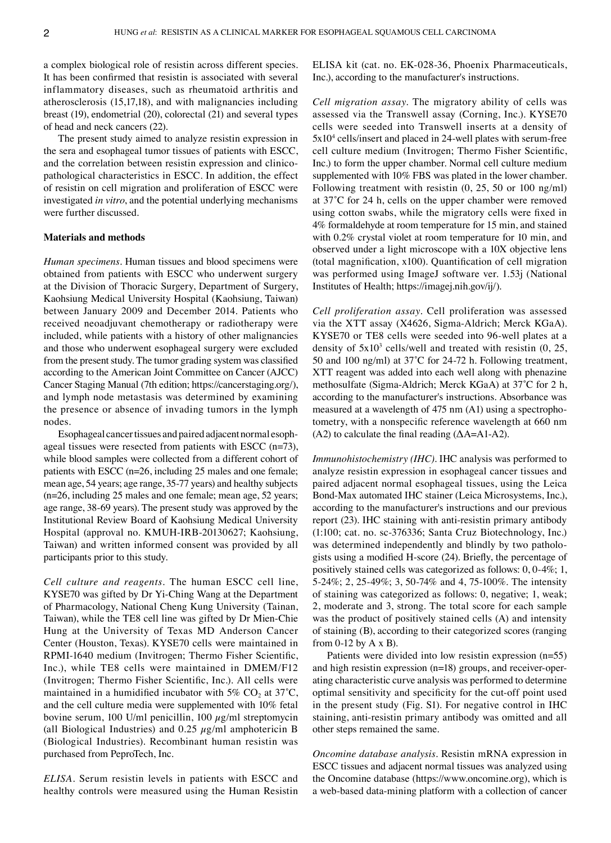a complex biological role of resistin across different species. It has been confirmed that resistin is associated with several inflammatory diseases, such as rheumatoid arthritis and atherosclerosis (15,17,18), and with malignancies including breast (19), endometrial (20), colorectal (21) and several types of head and neck cancers (22).

The present study aimed to analyze resistin expression in the sera and esophageal tumor tissues of patients with ESCC, and the correlation between resistin expression and clinicopathological characteristics in ESCC. In addition, the effect of resistin on cell migration and proliferation of ESCC were investigated *in vitro*, and the potential underlying mechanisms were further discussed.

## **Materials and methods**

*Human specimens.* Human tissues and blood specimens were obtained from patients with ESCC who underwent surgery at the Division of Thoracic Surgery, Department of Surgery, Kaohsiung Medical University Hospital (Kaohsiung, Taiwan) between January 2009 and December 2014. Patients who received neoadjuvant chemotherapy or radiotherapy were included, while patients with a history of other malignancies and those who underwent esophageal surgery were excluded from the present study. The tumor grading system was classified according to the American Joint Committee on Cancer (AJCC) Cancer Staging Manual (7th edition; https://cancerstaging.org/), and lymph node metastasis was determined by examining the presence or absence of invading tumors in the lymph nodes.

Esophageal cancer tissues and paired adjacent normal esoph‑ ageal tissues were resected from patients with ESCC  $(n=73)$ , while blood samples were collected from a different cohort of patients with ESCC (n=26, including 25 males and one female; mean age, 54 years; age range, 35‑77 years) and healthy subjects (n=26, including 25 males and one female; mean age, 52 years; age range, 38‑69 years). The present study was approved by the Institutional Review Board of Kaohsiung Medical University Hospital (approval no. KMUH‑IRB‑20130627; Kaohsiung, Taiwan) and written informed consent was provided by all participants prior to this study.

*Cell culture and reagents.* The human ESCC cell line, KYSE70 was gifted by Dr Yi‑Ching Wang at the Department of Pharmacology, National Cheng Kung University (Tainan, Taiwan), while the TE8 cell line was gifted by Dr Mien-Chie Hung at the University of Texas MD Anderson Cancer Center (Houston, Texas). KYSE70 cells were maintained in RPMI‑1640 medium (Invitrogen; Thermo Fisher Scientific, Inc.), while TE8 cells were maintained in DMEM/F12 (Invitrogen; Thermo Fisher Scientific, Inc.). All cells were maintained in a humidified incubator with 5%  $CO<sub>2</sub>$  at 37<sup>°</sup>C, and the cell culture media were supplemented with 10% fetal bovine serum, 100 U/ml penicillin, 100  $\mu$ g/ml streptomycin (all Biological Industries) and 0.25  $\mu$ g/ml amphotericin B (Biological Industries). Recombinant human resistin was purchased from PeproTech, Inc.

*ELISA.* Serum resistin levels in patients with ESCC and healthy controls were measured using the Human Resistin ELISA kit (cat. no. EK‑028‑36, Phoenix Pharmaceuticals, Inc.), according to the manufacturer's instructions.

*Cell migration assay.* The migratory ability of cells was assessed via the Transwell assay (Corning, Inc.). KYSE70 cells were seeded into Transwell inserts at a density of 5x10<sup>4</sup> cells/insert and placed in 24-well plates with serum-free cell culture medium (Invitrogen; Thermo Fisher Scientific, Inc.) to form the upper chamber. Normal cell culture medium supplemented with 10% FBS was plated in the lower chamber. Following treatment with resistin (0, 25, 50 or 100 ng/ml) at 37˚C for 24 h, cells on the upper chamber were removed using cotton swabs, while the migratory cells were fixed in 4% formaldehyde at room temperature for 15 min, and stained with 0.2% crystal violet at room temperature for 10 min, and observed under a light microscope with a 10X objective lens (total magnification, x100). Quantification of cell migration was performed using ImageJ software ver. 1.53j (National Institutes of Health; https://imagej.nih.gov/ij/).

*Cell proliferation assay.* Cell proliferation was assessed via the XTT assay (X4626, Sigma‑Aldrich; Merck KGaA). KYSE70 or TE8 cells were seeded into 96‑well plates at a density of  $5x10^3$  cells/well and treated with resistin  $(0, 25, 10^3)$ 50 and 100 ng/ml) at 37°C for 24-72 h. Following treatment, XTT reagent was added into each well along with phenazine methosulfate (Sigma‑Aldrich; Merck KGaA) at 37˚C for 2 h, according to the manufacturer's instructions. Absorbance was measured at a wavelength of 475 nm (A1) using a spectrophotometry, with a nonspecific reference wavelength at 660 nm (A2) to calculate the final reading  $(\Delta A = A1 - A2)$ .

*Immunohistochemistry (IHC).* IHC analysis was performed to analyze resistin expression in esophageal cancer tissues and paired adjacent normal esophageal tissues, using the Leica Bond‑Max automated IHC stainer (Leica Microsystems, Inc.), according to the manufacturer's instructions and our previous report (23). IHC staining with anti-resistin primary antibody (1:100; cat. no. sc‑376336; Santa Cruz Biotechnology, Inc.) was determined independently and blindly by two pathologists using a modified H‑score (24). Briefly, the percentage of positively stained cells was categorized as follows: 0, 0‑4%; 1, 5‑24%; 2, 25‑49%; 3, 50‑74% and 4, 75‑100%. The intensity of staining was categorized as follows: 0, negative; 1, weak; 2, moderate and 3, strong. The total score for each sample was the product of positively stained cells (A) and intensity of staining (B), according to their categorized scores (ranging from  $0-12$  by  $A \times B$ ).

Patients were divided into low resistin expression (n=55) and high resistin expression  $(n=18)$  groups, and receiver-operating characteristic curve analysis was performed to determine optimal sensitivity and specificity for the cut‑off point used in the present study (Fig. S1). For negative control in IHC staining, anti‑resistin primary antibody was omitted and all other steps remained the same.

*Oncomine database analysis.* Resistin mRNA expression in ESCC tissues and adjacent normal tissues was analyzed using the Oncomine database (https://www.oncomine.org), which is a web‑based data‑mining platform with a collection of cancer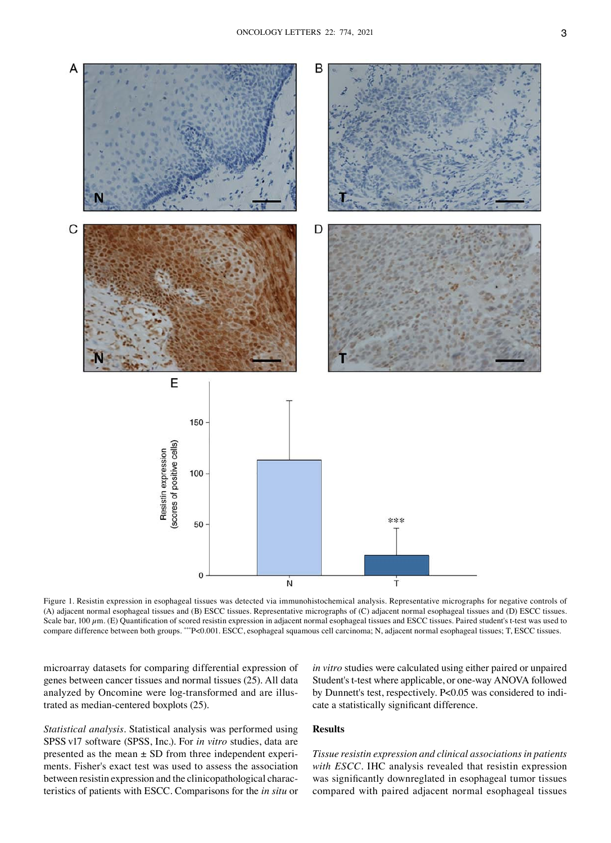

Figure 1. Resistin expression in esophageal tissues was detected via immunohistochemical analysis. Representative micrographs for negative controls of (A) adjacent normal esophageal tissues and (B) ESCC tissues. Representative micrographs of (C) adjacent normal esophageal tissues and (D) ESCC tissues. Scale bar, 100  $\mu$ m. (E) Quantification of scored resistin expression in adjacent normal esophageal tissues and ESCC tissues. Paired student's t-test was used to compare difference between both groups. \*\*\*P<0.001. ESCC, esophageal squamous cell carcinoma; N, adjacent normal esophageal tissues; T, ESCC tissues.

microarray datasets for comparing differential expression of genes between cancer tissues and normal tissues (25). All data analyzed by Oncomine were log-transformed and are illustrated as median‑centered boxplots (25).

*in vitro* studies were calculated using either paired or unpaired Student's t-test where applicable, or one-way ANOVA followed by Dunnett's test, respectively. P<0.05 was considered to indicate a statistically significant difference.

*Statistical analysis.* Statistical analysis was performed using SPSS v17 software (SPSS, Inc.). For *in vitro* studies, data are presented as the mean  $\pm$  SD from three independent experiments. Fisher's exact test was used to assess the association between resistin expression and the clinicopathological characteristics of patients with ESCC. Comparisons for the *in situ* or

## **Results**

*Tissue resistin expression and clinical associations in patients with ESCC.* IHC analysis revealed that resistin expression was significantly downreglated in esophageal tumor tissues compared with paired adjacent normal esophageal tissues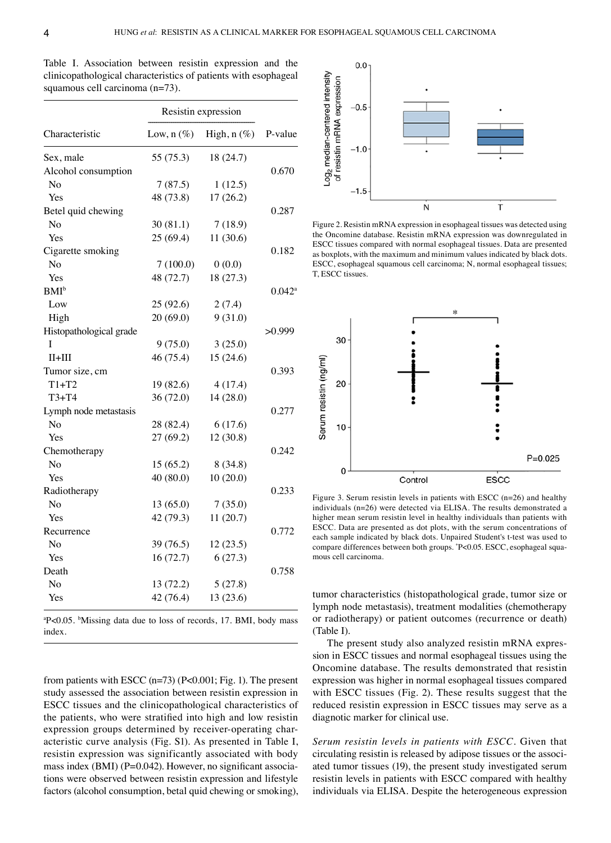Table I. Association between resistin expression and the clinicopathological characteristics of patients with esophageal squamous cell carcinoma (n=73).

| Characteristic          | Resistin expression |             |                      |
|-------------------------|---------------------|-------------|----------------------|
|                         | Low, $n(\%)$        | High, n (%) | P-value              |
| Sex, male               | 55 (75.3)           | 18 (24.7)   |                      |
| Alcohol consumption     |                     |             | 0.670                |
| No                      | 7(87.5)             | 1(12.5)     |                      |
| Yes                     | 48 (73.8)           | 17(26.2)    |                      |
| Betel quid chewing      |                     |             | 0.287                |
| N <sub>0</sub>          | 30(81.1)            | 7(18.9)     |                      |
| Yes                     | 25(69.4)            | 11(30.6)    |                      |
| Cigarette smoking       |                     |             | 0.182                |
| No                      | 7(100.0)            | 0(0.0)      |                      |
| Yes                     | 48 (72.7)           | 18 (27.3)   |                      |
| <b>BMI</b> <sup>b</sup> |                     |             | $0.042$ <sup>a</sup> |
| Low                     | 25(92.6)            | 2(7.4)      |                      |
| High                    | 20(69.0)            | 9(31.0)     |                      |
| Histopathological grade |                     |             | >0.999               |
| Ī                       | 9(75.0)             | 3(25.0)     |                      |
| $II+III$                | 46 (75.4)           | 15(24.6)    |                      |
| Tumor size, cm          |                     |             | 0.393                |
| $T1+T2$                 | 19(82.6)            | 4(17.4)     |                      |
| $T3+T4$                 | 36(72.0)            | 14(28.0)    |                      |
| Lymph node metastasis   |                     |             | 0.277                |
| No                      | 28 (82.4)           | 6(17.6)     |                      |
| Yes                     | 27(69.2)            | 12(30.8)    |                      |
| Chemotherapy            |                     |             | 0.242                |
| No                      | 15(65.2)            | 8(34.8)     |                      |
| Yes                     | 40(80.0)            | 10(20.0)    |                      |
| Radiotherapy            |                     |             | 0.233                |
| No                      | 13(65.0)            | 7(35.0)     |                      |
| Yes                     | 42 (79.3)           | 11(20.7)    |                      |
| Recurrence              |                     |             | 0.772                |
| No                      | 39 (76.5)           | 12(23.5)    |                      |
| Yes                     | 16(72.7)            | 6(27.3)     |                      |
| Death                   |                     |             | 0.758                |
| No                      | 13 (72.2)           | 5(27.8)     |                      |
| Yes                     | 42 (76.4)           | 13(23.6)    |                      |

a P<0.05. <sup>b</sup> Missing data due to loss of records, 17. BMI, body mass index.

from patients with ESCC (n=73) (P<0.001; Fig. 1). The present study assessed the association between resistin expression in ESCC tissues and the clinicopathological characteristics of the patients, who were stratified into high and low resistin expression groups determined by receiver-operating characteristic curve analysis (Fig. S1). As presented in Table I, resistin expression was significantly associated with body mass index (BMI) ( $P=0.042$ ). However, no significant associations were observed between resistin expression and lifestyle factors (alcohol consumption, betal quid chewing or smoking),



Figure 2. Resistin mRNA expression in esophageal tissues was detected using the Oncomine database. Resistin mRNA expression was downregulated in ESCC tissues compared with normal esophageal tissues. Data are presented as boxplots, with the maximum and minimum values indicated by black dots. ESCC, esophageal squamous cell carcinoma; N, normal esophageal tissues; T, ESCC tissues.



Figure 3. Serum resistin levels in patients with ESCC  $(n=26)$  and healthy individuals (n=26) were detected via ELISA. The results demonstrated a higher mean serum resistin level in healthy individuals than patients with ESCC. Data are presented as dot plots, with the serum concentrations of each sample indicated by black dots. Unpaired Student's t-test was used to compare differences between both groups. \*P<0.05. ESCC, esophageal squamous cell carcinoma.

tumor characteristics (histopathological grade, tumor size or lymph node metastasis), treatment modalities (chemotherapy or radiotherapy) or patient outcomes (recurrence or death) (Table I).

The present study also analyzed resistin mRNA expression in ESCC tissues and normal esophageal tissues using the Oncomine database. The results demonstrated that resistin expression was higher in normal esophageal tissues compared with ESCC tissues (Fig. 2). These results suggest that the reduced resistin expression in ESCC tissues may serve as a diagnotic marker for clinical use.

*Serum resistin levels in patients with ESCC.* Given that circulating resistin is released by adipose tissues or the associated tumor tissues (19), the present study investigated serum resistin levels in patients with ESCC compared with healthy individuals via ELISA. Despite the heterogeneous expression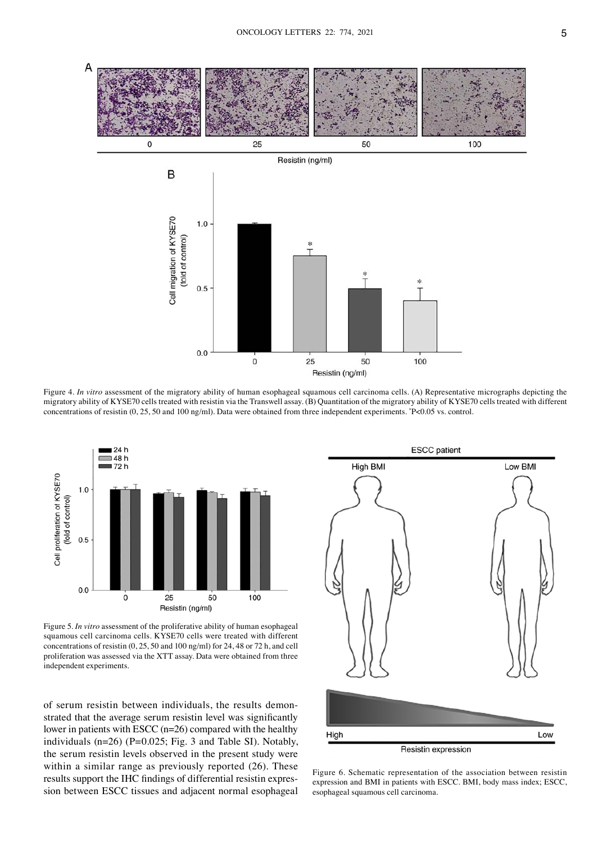

Figure 4. *In vitro* assessment of the migratory ability of human esophageal squamous cell carcinoma cells. (A) Representative micrographs depicting the migratory ability of KYSE70 cells treated with resistin via the Transwell assay. (B) Quantitation of the migratory ability of KYSE70 cells treated with different concentrations of resistin (0, 25, 50 and 100 ng/ml). Data were obtained from three independent experiments. \* P<0.05 vs. control.



Figure 5. *In vitro* assessment of the proliferative ability of human esophageal squamous cell carcinoma cells. KYSE70 cells were treated with different concentrations of resistin (0, 25, 50 and 100 ng/ml) for 24, 48 or 72 h, and cell proliferation was assessed via the XTT assay. Data were obtained from three independent experiments.

of serum resistin between individuals, the results demonstrated that the average serum resistin level was significantly lower in patients with ESCC (n=26) compared with the healthy individuals (n=26) (P=0.025; Fig. 3 and Table SI). Notably, the serum resistin levels observed in the present study were within a similar range as previously reported  $(26)$ . These results support the IHC findings of differential resistin expression between ESCC tissues and adjacent normal esophageal



Figure 6. Schematic representation of the association between resistin expression and BMI in patients with ESCC. BMI, body mass index; ESCC, esophageal squamous cell carcinoma.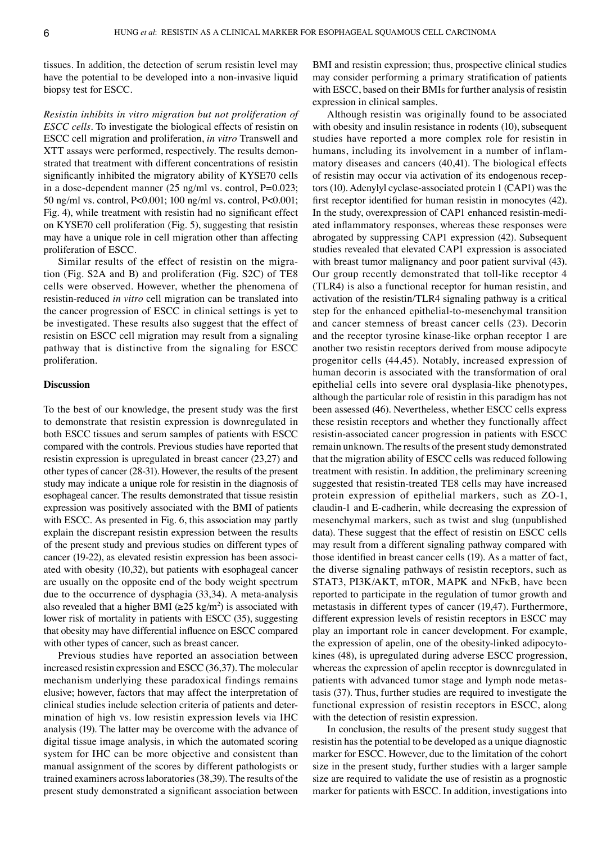tissues. In addition, the detection of serum resistin level may have the potential to be developed into a non-invasive liquid biopsy test for ESCC.

*Resistin inhibits in vitro migration but not proliferation of ESCC cells.* To investigate the biological effects of resistin on ESCC cell migration and proliferation, *in vitro* Transwell and XTT assays were performed, respectively. The results demonstrated that treatment with different concentrations of resistin significantly inhibited the migratory ability of KYSE70 cells in a dose-dependent manner (25 ng/ml vs. control, P=0.023; 50 ng/ml vs. control, P<0.001; 100 ng/ml vs. control, P<0.001; Fig. 4), while treatment with resistin had no significant effect on KYSE70 cell proliferation (Fig. 5), suggesting that resistin may have a unique role in cell migration other than affecting proliferation of ESCC.

Similar results of the effect of resistin on the migration (Fig. S2A and B) and proliferation (Fig. S2C) of TE8 cells were observed. However, whether the phenomena of resistin‑reduced *in vitro* cell migration can be translated into the cancer progression of ESCC in clinical settings is yet to be investigated. These results also suggest that the effect of resistin on ESCC cell migration may result from a signaling pathway that is distinctive from the signaling for ESCC proliferation.

## **Discussion**

To the best of our knowledge, the present study was the first to demonstrate that resistin expression is downregulated in both ESCC tissues and serum samples of patients with ESCC compared with the controls. Previous studies have reported that resistin expression is upregulated in breast cancer (23,27) and other types of cancer (28‑31). However, the results of the present study may indicate a unique role for resistin in the diagnosis of esophageal cancer. The results demonstrated that tissue resistin expression was positively associated with the BMI of patients with ESCC. As presented in Fig. 6, this association may partly explain the discrepant resistin expression between the results of the present study and previous studies on different types of cancer (19-22), as elevated resistin expression has been associated with obesity (10,32), but patients with esophageal cancer are usually on the opposite end of the body weight spectrum due to the occurrence of dysphagia (33,34). A meta-analysis also revealed that a higher BMI  $(\geq 25 \text{ kg/m}^2)$  is associated with lower risk of mortality in patients with ESCC (35), suggesting that obesity may have differential influence on ESCC compared with other types of cancer, such as breast cancer.

Previous studies have reported an association between increased resistin expression and ESCC (36,37). The molecular mechanism underlying these paradoxical findings remains elusive; however, factors that may affect the interpretation of clinical studies include selection criteria of patients and deter‑ mination of high vs. low resistin expression levels via IHC analysis (19). The latter may be overcome with the advance of digital tissue image analysis, in which the automated scoring system for IHC can be more objective and consistent than manual assignment of the scores by different pathologists or trained examiners across laboratories(38,39). The results of the present study demonstrated a significant association between BMI and resistin expression; thus, prospective clinical studies may consider performing a primary stratification of patients with ESCC, based on their BMIs for further analysis of resistin expression in clinical samples.

Although resistin was originally found to be associated with obesity and insulin resistance in rodents (10), subsequent studies have reported a more complex role for resistin in humans, including its involvement in a number of inflammatory diseases and cancers (40,41). The biological effects of resistin may occur via activation of its endogenous receptors(10). Adenylyl cyclase‑associated protein 1 (CAP1) was the first receptor identified for human resistin in monocytes (42). In the study, overexpression of CAP1 enhanced resistin-mediated inflammatory responses, whereas these responses were abrogated by suppressing CAP1 expression (42). Subsequent studies revealed that elevated CAP1 expression is associated with breast tumor malignancy and poor patient survival (43). Our group recently demonstrated that toll-like receptor 4 (TLR4) is also a functional receptor for human resistin, and activation of the resistin/TLR4 signaling pathway is a critical step for the enhanced epithelial-to-mesenchymal transition and cancer stemness of breast cancer cells (23). Decorin and the receptor tyrosine kinase-like orphan receptor 1 are another two resistin receptors derived from mouse adipocyte progenitor cells (44,45). Notably, increased expression of human decorin is associated with the transformation of oral epithelial cells into severe oral dysplasia‑like phenotypes, although the particular role of resistin in this paradigm has not been assessed (46). Nevertheless, whether ESCC cells express these resistin receptors and whether they functionally affect resistin‑associated cancer progression in patients with ESCC remain unknown. The results of the present study demonstrated that the migration ability of ESCC cells was reduced following treatment with resistin. In addition, the preliminary screening suggested that resistin‑treated TE8 cells may have increased protein expression of epithelial markers, such as ZO‑1, claudin‑1 and E‑cadherin, while decreasing the expression of mesenchymal markers, such as twist and slug (unpublished data). These suggest that the effect of resistin on ESCC cells may result from a different signaling pathway compared with those identified in breast cancer cells (19). As a matter of fact, the diverse signaling pathways of resistin receptors, such as STAT3, PI3K/AKT, mTOR, MAPK and NFκB, have been reported to participate in the regulation of tumor growth and metastasis in different types of cancer (19,47). Furthermore, different expression levels of resistin receptors in ESCC may play an important role in cancer development. For example, the expression of apelin, one of the obesity-linked adipocytokines (48), is upregulated during adverse ESCC progression, whereas the expression of apelin receptor is downregulated in patients with advanced tumor stage and lymph node metastasis (37). Thus, further studies are required to investigate the functional expression of resistin receptors in ESCC, along with the detection of resistin expression.

In conclusion, the results of the present study suggest that resistin has the potential to be developed as a unique diagnostic marker for ESCC. However, due to the limitation of the cohort size in the present study, further studies with a larger sample size are required to validate the use of resistin as a prognostic marker for patients with ESCC. In addition, investigations into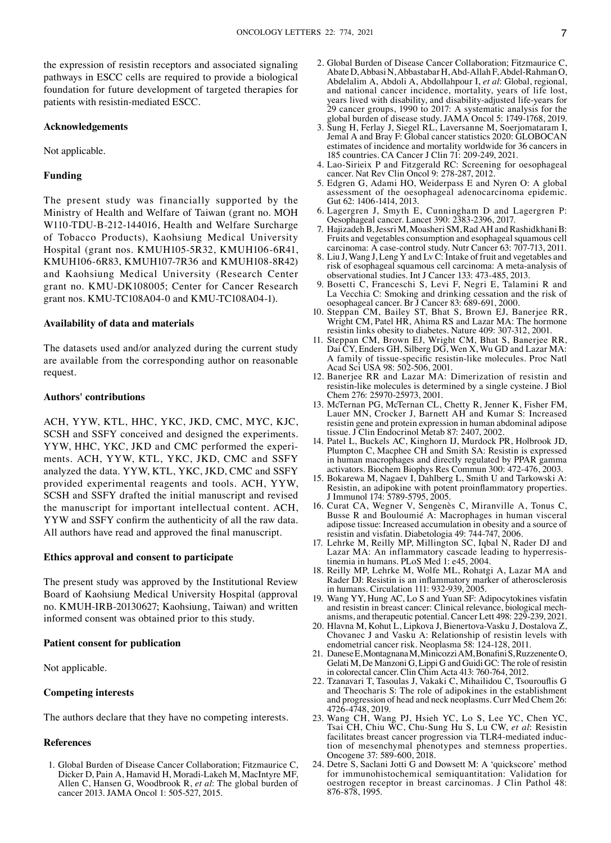the expression of resistin receptors and associated signaling pathways in ESCC cells are required to provide a biological foundation for future development of targeted therapies for patients with resistin‑mediated ESCC.

## **Acknowledgements**

Not applicable.

## **Funding**

The present study was financially supported by the Ministry of Health and Welfare of Taiwan (grant no. MOH W110-TDU-B-212-144016, Health and Welfare Surcharge of Tobacco Products), Kaohsiung Medical University Hospital (grant nos. KMUH105‑5R32, KMUH106‑6R41, KMUH106‑6R83, KMUH107‑7R36 and KMUH108‑8R42) and Kaohsiung Medical University (Research Center grant no. KMU‑DK108005; Center for Cancer Research grant nos. KMU-TC108A04-0 and KMU-TC108A04-1).

## **Availability of data and materials**

The datasets used and/or analyzed during the current study are available from the corresponding author on reasonable request.

## **Authors' contributions**

ACH, YYW, KTL, HHC, YKC, JKD, CMC, MYC, KJC, SCSH and SSFY conceived and designed the experiments. YYW, HHC, YKC, JKD and CMC performed the experiments. ACH, YYW, KTL, YKC, JKD, CMC and SSFY analyzed the data. YYW, KTL, YKC, JKD, CMC and SSFY provided experimental reagents and tools. ACH, YYW, SCSH and SSFY drafted the initial manuscript and revised the manuscript for important intellectual content. ACH, YYW and SSFY confirm the authenticity of all the raw data. All authors have read and approved the final manuscript.

## **Ethics approval and consent to participate**

The present study was approved by the Institutional Review Board of Kaohsiung Medical University Hospital (approval no. KMUH‑IRB‑20130627; Kaohsiung, Taiwan) and written informed consent was obtained prior to this study.

#### **Patient consent for publication**

Not applicable.

## **Competing interests**

The authors declare that they have no competing interests.

#### **References**

1. Global Burden of Disease Cancer Collaboration; Fitzmaurice C, Dicker D, Pain A, Hamavid H, Moradi‑Lakeh M, MacIntyre MF, Allen C, Hansen G, Woodbrook R, *et al*: The global burden of cancer 2013. JAMA Oncol 1: 505‑527, 2015.

- 2. Global Burden of Disease Cancer Collaboration; Fitzmaurice C, AbateD, AbbasiN, AbbastabarH, Abd‑AllahF, Abdel‑RahmanO, Abdelalim A, Abdoli A, Abdollahpour I, *et al*: Global, regional, and national cancer incidence, mortality, years of life lost, years lived with disability, and disability‑adjusted life‑years for 29 cancer groups, 1990 to 2017: A systematic analysis for the global burden of disease study. JAMA Oncol 5: 1749‑1768, 2019.
- 3. Sung H, Ferlay J, Siegel RL, Laversanne M, Soerjomataram I, Jemal A and Bray F: Global cancer statistics 2020: GLOBOCAN estimates of incidence and mortality worldwide for 36 cancers in 185 countries. CA Cancer J Clin 71: 209‑249, 2021.
- 4. Lao‑Sirieix P and Fitzgerald RC: Screening for oesophageal cancer. Nat Rev Clin Oncol 9: 278‑287, 2012.
- 5. Edgren G, Adami HO, Weiderpass E and Nyren O: A global assessment of the oesophageal adenocarcinoma epidemic. Gut 62: 1406-1414, 2013.
- 6. Lagergren J, Smyth E, Cunningham D and Lagergren P: Oesophageal cancer. Lancet 390: 2383‑2396, 2017.
- 7. Hajizadeh B, Jessri M, Moasheri SM, Rad AH and Rashidkhani B: Fruits and vegetables consumption and esophageal squamous cell carcinoma: A case-control study. Nutr Cancer 63: 707-713, 2011.
- 8. Liu J, Wang J, Leng Y and Lv C: Intake of fruit and vegetables and risk of esophageal squamous cell carcinoma: A meta‑analysis of observational studies. Int J Cancer 133: 473‑485, 2013.
- 9. Bosetti C, Franceschi S, Levi F, Negri E, Talamini R and La Vecchia C: Smoking and drinking cessation and the risk of oesophageal cancer. Br J Cancer 83: 689‑691, 2000.
- 10. Steppan CM, Bailey ST, Bhat S, Brown EJ, Banerjee RR, Wright CM, Patel HR, Ahima RS and Lazar MA: The hormone resistin links obesity to diabetes. Nature 409: 307‑312, 2001.
- 11. Steppan CM, Brown EJ, Wright CM, Bhat S, Banerjee RR, Dai CY, Enders GH, Silberg DG, Wen X, Wu GD and Lazar MA: A family of tissue‑specific resistin‑like molecules. Proc Natl Acad Sci USA 98: 502‑506, 2001.
- 12. Banerjee RR and Lazar MA: Dimerization of resistin and resistin‑like molecules is determined by a single cysteine. J Biol Chem 276: 25970‑25973, 2001.
- 13. McTernan PG, McTernan CL, Chetty R, Jenner K, Fisher FM, Lauer MN, Crocker J, Barnett AH and Kumar S: Increased resistin gene and protein expression in human abdominal adipose tissue. J Clin Endocrinol Metab 87: 2407, 2002.
- 14. Patel L, Buckels AC, Kinghorn IJ, Murdock PR, Holbrook JD, Plumpton C, Macphee CH and Smith SA: Resistin is expressed in human macrophages and directly regulated by PPAR gamma activators. Biochem Biophys Res Commun 300: 472‑476, 2003.
- 15. Bokarewa M, Nagaev I, Dahlberg L, Smith U and Tarkowski A: Resistin, an adipokine with potent proinflammatory properties. J Immunol 174: 5789‑5795, 2005.
- 16. Curat CA, Wegner V, Sengenès C, Miranville A, Tonus C, Busse R and Bouloumié A: Macrophages in human visceral adipose tissue: Increased accumulation in obesity and a source of resistin and visfatin. Diabetologia 49: 744‑747, 2006.
- 17. Lehrke M, Reilly MP, Millington SC, Iqbal N, Rader DJ and Lazar MA: An inflammatory cascade leading to hyperresis-<br>tinemia in humans. PLoS Med 1: e45, 2004.
- 18. Reilly MP, Lehrke M, Wolfe ML, Rohatgi A, Lazar MA and Rader DJ: Resistin is an inflammatory marker of atherosclerosis in humans. Circulation 111: 932‑939, 2005.
- 19. Wang YY, Hung AC, Lo S and Yuan SF: Adipocytokines visfatin and resistin in breast cancer: Clinical relevance, biological mechanisms, and therapeutic potential. Cancer Lett 498: 229-239, 2021.
- 20. Hlavna M, Kohut L, Lipkova J, Bienertova‑Vasku J, Dostalova Z, Chovanec J and Vasku A: Relationship of resistin levels with endometrial cancer risk. Neoplasma 58: 124‑128, 2011.
- 21. DaneseE, MontagnanaM, MinicozziAM, BonafiniS, RuzzenenteO, Gelati M, De Manzoni G, Lippi G and Guidi GC: The role of resistin in colorectal cancer. Clin Chim Acta 413: 760‑764, 2012.
- 22. Tzanavari T, Tasoulas J, Vakaki C, Mihailidou C, Tsourouflis G and Theocharis S: The role of adipokines in the establishment and progression of head and neck neoplasms. Curr Med Chem 26: 4726‑4748, 2019.
- 23. Wang CH, Wang PJ, Hsieh YC, Lo S, Lee YC, Chen YC, Tsai CH, Chiu WC, Chu‑Sung Hu S, Lu CW, *et al*: Resistin facilitates breast cancer progression via TLR4-mediated induction of mesenchymal phenotypes and stemness properties. Oncogene 37: 589‑600, 2018.
- 24. Detre S, Saclani Jotti G and Dowsett M: A 'quickscore' method for immunohistochemical semiquantitation: Validation for oestrogen receptor in breast carcinomas. J Clin Pathol 48: 876‑878, 1995.